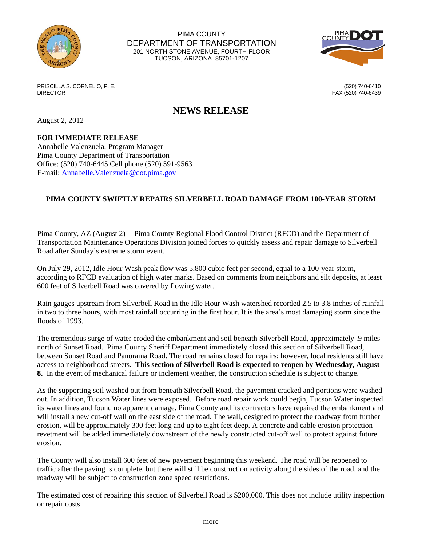

PIMA COUNTY DEPARTMENT OF TRANSPORTATION 201 NORTH STONE AVENUE, FOURTH FLOOR TUCSON, ARIZONA 85701-1207



PRISCILLA S. CORNELIO, P. E. (520) 740-6410 DIRECTOR FAX (520) 740-6439

## **NEWS RELEASE**

August 2, 2012

## **FOR IMMEDIATE RELEASE**

Annabelle Valenzuela, Program Manager Pima County Department of Transportation Office: (520) 740-6445 Cell phone (520) 591-9563 E-mail: [Annabelle.Valenzuela@dot.pima.gov](mailto:Annabelle.Valenzuela@dot.pima.gov)

## **PIMA COUNTY SWIFTLY REPAIRS SILVERBELL ROAD DAMAGE FROM 100-YEAR STORM**

Pima County, AZ (August 2) -- Pima County Regional Flood Control District (RFCD) and the Department of Transportation Maintenance Operations Division joined forces to quickly assess and repair damage to Silverbell Road after Sunday's extreme storm event.

On July 29, 2012, Idle Hour Wash peak flow was 5,800 cubic feet per second, equal to a 100-year storm, according to RFCD evaluation of high water marks. Based on comments from neighbors and silt deposits, at least 600 feet of Silverbell Road was covered by flowing water.

Rain gauges upstream from Silverbell Road in the Idle Hour Wash watershed recorded 2.5 to 3.8 inches of rainfall in two to three hours, with most rainfall occurring in the first hour. It is the area's most damaging storm since the floods of 1993.

The tremendous surge of water eroded the embankment and soil beneath Silverbell Road, approximately .9 miles north of Sunset Road. Pima County Sheriff Department immediately closed this section of Silverbell Road, between Sunset Road and Panorama Road. The road remains closed for repairs; however, local residents still have access to neighborhood streets. **This section of Silverbell Road is expected to reopen by Wednesday, August 8.** In the event of mechanical failure or inclement weather, the construction schedule is subject to change.

As the supporting soil washed out from beneath Silverbell Road, the pavement cracked and portions were washed out. In addition, Tucson Water lines were exposed. Before road repair work could begin, Tucson Water inspected its water lines and found no apparent damage. Pima County and its contractors have repaired the embankment and will install a new cut-off wall on the east side of the road. The wall, designed to protect the roadway from further erosion, will be approximately 300 feet long and up to eight feet deep. A concrete and cable erosion protection revetment will be added immediately downstream of the newly constructed cut-off wall to protect against future erosion.

The County will also install 600 feet of new pavement beginning this weekend. The road will be reopened to traffic after the paving is complete, but there will still be construction activity along the sides of the road, and the roadway will be subject to construction zone speed restrictions.

The estimated cost of repairing this section of Silverbell Road is \$200,000. This does not include utility inspection or repair costs.